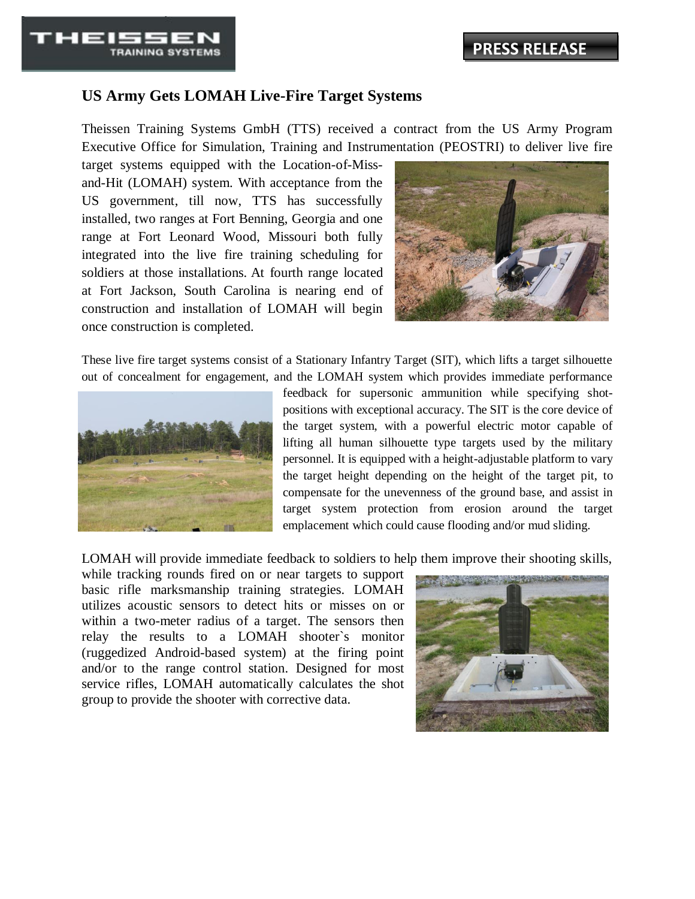## **US Army Gets LOMAH Live-Fire Target Systems**

Theissen Training Systems GmbH (TTS) received a contract from the US Army Program Executive Office for Simulation, Training and Instrumentation (PEOSTRI) to deliver live fire

target systems equipped with the Location-of-Missand-Hit (LOMAH) system. With acceptance from the US government, till now, TTS has successfully installed, two ranges at Fort Benning, Georgia and one range at Fort Leonard Wood, Missouri both fully integrated into the live fire training scheduling for soldiers at those installations. At fourth range located at Fort Jackson, South Carolina is nearing end of construction and installation of LOMAH will begin once construction is completed.



These live fire target systems consist of a Stationary Infantry Target (SIT), which lifts a target silhouette out of concealment for engagement, and the LOMAH system which provides immediate performance



- - -

**TRAINING SYSTEMS** 

feedback for supersonic ammunition while specifying shotpositions with exceptional accuracy. The SIT is the core device of the target system, with a powerful electric motor capable of lifting all human silhouette type targets used by the military personnel. It is equipped with a height-adjustable platform to vary the target height depending on the height of the target pit, to compensate for the unevenness of the ground base, and assist in target system protection from erosion around the target emplacement which could cause flooding and/or mud sliding.

LOMAH will provide immediate feedback to soldiers to help them improve their shooting skills,

while tracking rounds fired on or near targets to support basic rifle marksmanship training strategies. LOMAH utilizes acoustic sensors to detect hits or misses on or within a two-meter radius of a target. The sensors then relay the results to a LOMAH shooter`s monitor (ruggedized Android-based system) at the firing point and/or to the range control station. Designed for most service rifles, LOMAH automatically calculates the shot group to provide the shooter with corrective data.